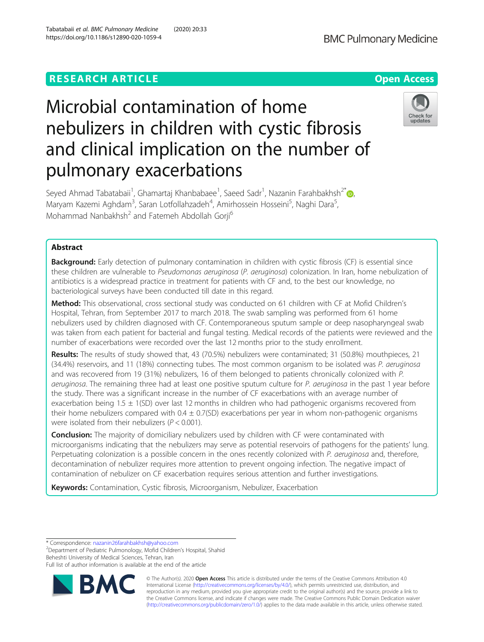# **RESEARCH ARTICLE Example 2014 CONSIDERING A RESEARCH ARTICLE**



# Microbial contamination of home nebulizers in children with cystic fibrosis and clinical implication on the number of pulmonary exacerbations



Seyed Ahmad Tabatabaii<sup>1</sup>, Ghamartaj Khanbabaee<sup>1</sup>, Saeed Sadr<sup>1</sup>, Nazanin Farahbakhsh<sup>2\*</sup>@, Maryam Kazemi Aghdam<sup>3</sup>, Saran Lotfollahzadeh<sup>4</sup>, Amirhossein Hosseini<sup>5</sup>, Naghi Dara<sup>5</sup> , Mohammad Nanbakhsh<sup>2</sup> and Fatemeh Abdollah Gorji<sup>6</sup>

# Abstract

Background: Early detection of pulmonary contamination in children with cystic fibrosis (CF) is essential since these children are vulnerable to Pseudomonas aeruginosa (P. aeruginosa) colonization. In Iran, home nebulization of antibiotics is a widespread practice in treatment for patients with CF and, to the best our knowledge, no bacteriological surveys have been conducted till date in this regard.

Method: This observational, cross sectional study was conducted on 61 children with CF at Mofid Children's Hospital, Tehran, from September 2017 to march 2018. The swab sampling was performed from 61 home nebulizers used by children diagnosed with CF. Contemporaneous sputum sample or deep nasopharyngeal swab was taken from each patient for bacterial and fungal testing. Medical records of the patients were reviewed and the number of exacerbations were recorded over the last 12 months prior to the study enrollment.

Results: The results of study showed that, 43 (70.5%) nebulizers were contaminated; 31 (50.8%) mouthpieces, 21 (34.4%) reservoirs, and 11 (18%) connecting tubes. The most common organism to be isolated was P. aeruginosa and was recovered from 19 (31%) nebulizers, 16 of them belonged to patients chronically colonized with P. aeruginosa. The remaining three had at least one positive sputum culture for P. aeruginosa in the past 1 year before the study. There was a significant increase in the number of CF exacerbations with an average number of exacerbation being  $1.5 \pm 1$ (SD) over last 12 months in children who had pathogenic organisms recovered from their home nebulizers compared with  $0.4 \pm 0.7$ (SD) exacerbations per year in whom non-pathogenic organisms were isolated from their nebulizers ( $P < 0.001$ ).

**Conclusion:** The majority of domiciliary nebulizers used by children with CF were contaminated with microorganisms indicating that the nebulizers may serve as potential reservoirs of pathogens for the patients' lung. Perpetuating colonization is a possible concern in the ones recently colonized with P. aeruginosa and, therefore, decontamination of nebulizer requires more attention to prevent ongoing infection. The negative impact of contamination of nebulizer on CF exacerbation requires serious attention and further investigations.

Keywords: Contamination, Cystic fibrosis, Microorganism, Nebulizer, Exacerbation

\* Correspondence: [nazanin26farahbakhsh@yahoo.com](mailto:nazanin26farahbakhsh@yahoo.com) <sup>2</sup>

Department of Pediatric Pulmonology, Mofid Children's Hospital, Shahid Beheshti University of Medical Sciences, Tehran, Iran

Full list of author information is available at the end of the article



© The Author(s). 2020 **Open Access** This article is distributed under the terms of the Creative Commons Attribution 4.0 International License [\(http://creativecommons.org/licenses/by/4.0/](http://creativecommons.org/licenses/by/4.0/)), which permits unrestricted use, distribution, and reproduction in any medium, provided you give appropriate credit to the original author(s) and the source, provide a link to the Creative Commons license, and indicate if changes were made. The Creative Commons Public Domain Dedication waiver [\(http://creativecommons.org/publicdomain/zero/1.0/](http://creativecommons.org/publicdomain/zero/1.0/)) applies to the data made available in this article, unless otherwise stated.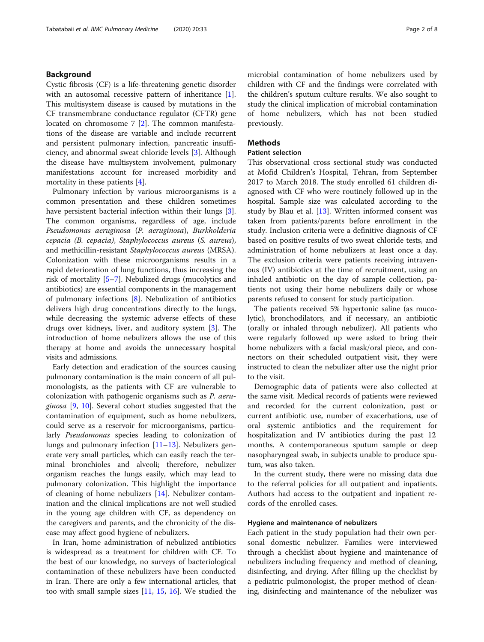# Background

Cystic fibrosis (CF) is a life-threatening genetic disorder with an autosomal recessive pattern of inheritance [\[1](#page-6-0)]. This multisystem disease is caused by mutations in the CF transmembrane conductance regulator (CFTR) gene located on chromosome 7 [\[2](#page-6-0)]. The common manifestations of the disease are variable and include recurrent and persistent pulmonary infection, pancreatic insufficiency, and abnormal sweat chloride levels [[3\]](#page-6-0). Although the disease have multisystem involvement, pulmonary manifestations account for increased morbidity and mortality in these patients [\[4\]](#page-6-0).

Pulmonary infection by various microorganisms is a common presentation and these children sometimes have persistent bacterial infection within their lungs [\[3](#page-6-0)]. The common organisms, regardless of age, include Pseudomonas aeruginosa (P. aeruginosa), Burkholderia cepacia (B. cepacia), Staphylococcus aureus (S. aureus), and methicillin-resistant Staphylococcus aureus (MRSA). Colonization with these microorganisms results in a rapid deterioration of lung functions, thus increasing the risk of mortality [\[5](#page-6-0)–[7\]](#page-6-0). Nebulized drugs (mucolytics and antibiotics) are essential components in the management of pulmonary infections  $[8]$  $[8]$ . Nebulization of antibiotics delivers high drug concentrations directly to the lungs, while decreasing the systemic adverse effects of these drugs over kidneys, liver, and auditory system [[3\]](#page-6-0). The introduction of home nebulizers allows the use of this therapy at home and avoids the unnecessary hospital visits and admissions.

Early detection and eradication of the sources causing pulmonary contamination is the main concern of all pulmonologists, as the patients with CF are vulnerable to colonization with pathogenic organisms such as P. aeruginosa [\[9](#page-6-0), [10\]](#page-6-0). Several cohort studies suggested that the contamination of equipment, such as home nebulizers, could serve as a reservoir for microorganisms, particularly Pseudomonas species leading to colonization of lungs and pulmonary infection  $[11–13]$  $[11–13]$  $[11–13]$  $[11–13]$ . Nebulizers generate very small particles, which can easily reach the terminal bronchioles and alveoli; therefore, nebulizer organism reaches the lungs easily, which may lead to pulmonary colonization. This highlight the importance of cleaning of home nebulizers [[14](#page-6-0)]. Nebulizer contamination and the clinical implications are not well studied in the young age children with CF, as dependency on the caregivers and parents, and the chronicity of the disease may affect good hygiene of nebulizers.

In Iran, home administration of nebulized antibiotics is widespread as a treatment for children with CF. To the best of our knowledge, no surveys of bacteriological contamination of these nebulizers have been conducted in Iran. There are only a few international articles, that too with small sample sizes [\[11](#page-6-0), [15,](#page-6-0) [16\]](#page-7-0). We studied the microbial contamination of home nebulizers used by children with CF and the findings were correlated with the children's sputum culture results. We also sought to study the clinical implication of microbial contamination of home nebulizers, which has not been studied previously.

# Methods

## Patient selection

This observational cross sectional study was conducted at Mofid Children's Hospital, Tehran, from September 2017 to March 2018. The study enrolled 61 children diagnosed with CF who were routinely followed up in the hospital. Sample size was calculated according to the study by Blau et al.  $[13]$  $[13]$ . Written informed consent was taken from patients/parents before enrollment in the study. Inclusion criteria were a definitive diagnosis of CF based on positive results of two sweat chloride tests, and administration of home nebulizers at least once a day. The exclusion criteria were patients receiving intravenous (IV) antibiotics at the time of recruitment, using an inhaled antibiotic on the day of sample collection, patients not using their home nebulizers daily or whose parents refused to consent for study participation.

The patients received 5% hypertonic saline (as mucolytic), bronchodilators, and if necessary, an antibiotic (orally or inhaled through nebulizer). All patients who were regularly followed up were asked to bring their home nebulizers with a facial mask/oral piece, and connectors on their scheduled outpatient visit, they were instructed to clean the nebulizer after use the night prior to the visit.

Demographic data of patients were also collected at the same visit. Medical records of patients were reviewed and recorded for the current colonization, past or current antibiotic use, number of exacerbations, use of oral systemic antibiotics and the requirement for hospitalization and IV antibiotics during the past 12 months. A contemporaneous sputum sample or deep nasopharyngeal swab, in subjects unable to produce sputum, was also taken.

In the current study, there were no missing data due to the referral policies for all outpatient and inpatients. Authors had access to the outpatient and inpatient records of the enrolled cases.

## Hygiene and maintenance of nebulizers

Each patient in the study population had their own personal domestic nebulizer. Families were interviewed through a checklist about hygiene and maintenance of nebulizers including frequency and method of cleaning, disinfecting, and drying. After filling up the checklist by a pediatric pulmonologist, the proper method of cleaning, disinfecting and maintenance of the nebulizer was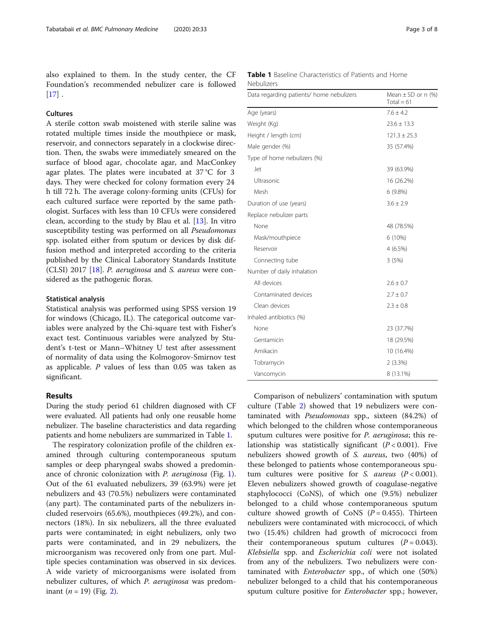also explained to them. In the study center, the CF Foundation's recommended nebulizer care is followed  $[17]$  $[17]$ .

# Cultures

A sterile cotton swab moistened with sterile saline was rotated multiple times inside the mouthpiece or mask, reservoir, and connectors separately in a clockwise direction. Then, the swabs were immediately smeared on the surface of blood agar, chocolate agar, and MacConkey agar plates. The plates were incubated at 37 °C for 3 days. They were checked for colony formation every 24 h till 72 h. The average colony-forming units (CFUs) for each cultured surface were reported by the same pathologist. Surfaces with less than 10 CFUs were considered clean, according to the study by Blau et al. [[13\]](#page-6-0). In vitro susceptibility testing was performed on all *Pseudomonas* spp. isolated either from sputum or devices by disk diffusion method and interpreted according to the criteria published by the Clinical Laboratory Standards Institute (CLSI) 2017 [\[18\]](#page-7-0). P. aeruginosa and S. aureus were considered as the pathogenic floras.

#### Statistical analysis

Statistical analysis was performed using SPSS version 19 for windows (Chicago, IL). The categorical outcome variables were analyzed by the Chi-square test with Fisher's exact test. Continuous variables were analyzed by Student's t-test or Mann–Whitney U test after assessment of normality of data using the Kolmogorov-Smirnov test as applicable. P values of less than 0.05 was taken as significant.

# Results

During the study period 61 children diagnosed with CF were evaluated. All patients had only one reusable home nebulizer. The baseline characteristics and data regarding patients and home nebulizers are summarized in Table 1.

The respiratory colonization profile of the children examined through culturing contemporaneous sputum samples or deep pharyngeal swabs showed a predominance of chronic colonization with P. aeruginosa (Fig. [1](#page-3-0)). Out of the 61 evaluated nebulizers, 39 (63.9%) were jet nebulizers and 43 (70.5%) nebulizers were contaminated (any part). The contaminated parts of the nebulizers included reservoirs (65.6%), mouthpieces (49.2%), and connectors (18%). In six nebulizers, all the three evaluated parts were contaminated; in eight nebulizers, only two parts were contaminated, and in 29 nebulizers, the microorganism was recovered only from one part. Multiple species contamination was observed in six devices. A wide variety of microorganisms were isolated from nebulizer cultures, of which *P. aeruginosa* was predominant  $(n = 19)$  (Fig. [2](#page-3-0)).

|            | <b>Table 1</b> Baseline Characteristics of Patients and Home |  |
|------------|--------------------------------------------------------------|--|
| Nebulizers |                                                              |  |

| Data regarding patients/ home nebulizers | Mean $\pm$ SD or n (%)<br>Total = $61$ |  |
|------------------------------------------|----------------------------------------|--|
| Age (years)                              | $7.6 + 4.2$                            |  |
| Weight (Kg)                              | $23.6 \pm 13.3$                        |  |
| Height / length (cm)                     | $121.3 \pm 25.3$                       |  |
| Male gender (%)                          | 35 (57.4%)                             |  |
| Type of home nebulizers (%)              |                                        |  |
| Jet                                      | 39 (63.9%)                             |  |
| Ultrasonic                               | 16 (26.2%)                             |  |
| Mesh                                     | $6(9.8\%)$                             |  |
| Duration of use (years)                  | $3.6 \pm 2.9$                          |  |
| Replace nebulizer parts                  |                                        |  |
| None                                     | 48 (78.5%)                             |  |
| Mask/mouthpiece                          | 6 (10%)                                |  |
| Reservoir                                | 4 (6.5%)                               |  |
| Connecting tube                          | 3(5%)                                  |  |
| Number of daily inhalation               |                                        |  |
| All devices                              | $2.6 \pm 0.7$                          |  |
| Contaminated devices                     | $2.7 \pm 0.7$                          |  |
| Clean devices                            | $2.3 \pm 0.8$                          |  |
| Inhaled antibiotics (%)                  |                                        |  |
| None                                     | 23 (37.7%)                             |  |
| Gentamicin                               | 18 (29.5%)                             |  |
| Amikacin                                 | 10 (16.4%)                             |  |
| Tobramycin                               | 2(3.3%)                                |  |
| Vancomycin                               | 8 (13.1%)                              |  |

Comparison of nebulizers' contamination with sputum culture (Table [2](#page-4-0)) showed that 19 nebulizers were contaminated with Pseudomonas spp., sixteen (84.2%) of which belonged to the children whose contemporaneous sputum cultures were positive for P. aeruginosa; this relationship was statistically significant  $(P < 0.001)$ . Five nebulizers showed growth of S. aureus, two (40%) of these belonged to patients whose contemporaneous sputum cultures were positive for *S. aureus*  $(P < 0.001)$ . Eleven nebulizers showed growth of coagulase-negative staphylococci (CoNS), of which one (9.5%) nebulizer belonged to a child whose contemporaneous sputum culture showed growth of CoNS ( $P = 0.455$ ). Thirteen nebulizers were contaminated with micrococci, of which two (15.4%) children had growth of micrococci from their contemporaneous sputum cultures  $(P = 0.043)$ . Klebsiella spp. and Escherichia coli were not isolated from any of the nebulizers. Two nebulizers were contaminated with Enterobacter spp., of which one (50%) nebulizer belonged to a child that his contemporaneous sputum culture positive for *Enterobacter* spp.; however,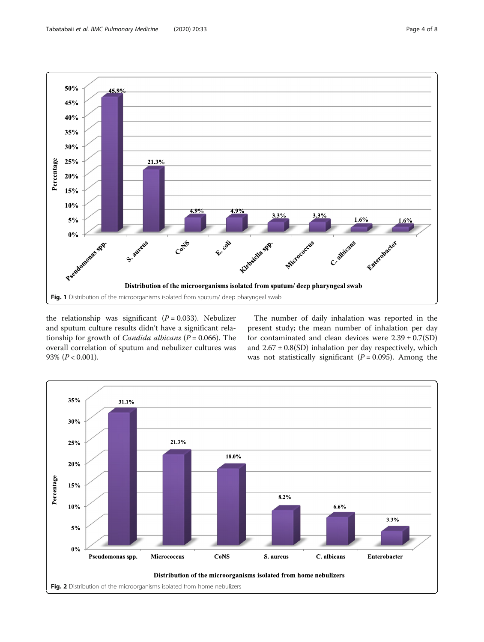<span id="page-3-0"></span>

the relationship was significant  $(P = 0.033)$ . Nebulizer and sputum culture results didn't have a significant relationship for growth of *Candida albicans* ( $P = 0.066$ ). The overall correlation of sputum and nebulizer cultures was 93%  $(P < 0.001)$ .

The number of daily inhalation was reported in the present study; the mean number of inhalation per day for contaminated and clean devices were  $2.39 \pm 0.7(SD)$ and  $2.67 \pm 0.8(SD)$  inhalation per day respectively, which was not statistically significant ( $P = 0.095$ ). Among the

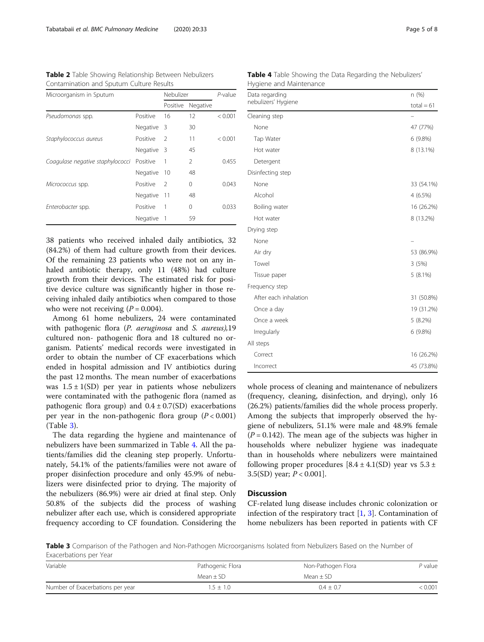<span id="page-4-0"></span>Table 2 Table Showing Relationship Between Nebulizers Contamination and Sputum Culture Results

| Microorganism in Sputum          |            | Nebulizer      |          | $P$ -value |
|----------------------------------|------------|----------------|----------|------------|
|                                  |            | Positive       | Negative |            |
| Pseudomonas spp.                 | Positive   | 16             | 12       | < 0.001    |
|                                  | Negative   | - 3            | 30       |            |
| Staphylococcus aureus            | Positive   | $\mathcal{P}$  | 11       | < 0.001    |
|                                  | Negative 3 |                | 45       |            |
| Coagulase negative staphylococci | Positive   | 1              | 2        | 0.455      |
|                                  | Negative   | 10             | 48       |            |
| Micrococcus spp.                 | Positive   | $\mathcal{P}$  | 0        | 0.043      |
|                                  | Negative   | 11             | 48       |            |
| Enterobacter spp.                | Positive   | 1              | 0        | 0.033      |
|                                  | Negative   | $\overline{1}$ | 59       |            |

38 patients who received inhaled daily antibiotics, 32 (84.2%) of them had culture growth from their devices. Of the remaining 23 patients who were not on any inhaled antibiotic therapy, only 11 (48%) had culture growth from their devices. The estimated risk for positive device culture was significantly higher in those receiving inhaled daily antibiotics when compared to those who were not receiving  $(P = 0.004)$ .

Among 61 home nebulizers, 24 were contaminated with pathogenic flora (P. aeruginosa and S. aureus), 19 cultured non- pathogenic flora and 18 cultured no organism. Patients' medical records were investigated in order to obtain the number of CF exacerbations which ended in hospital admission and IV antibiotics during the past 12 months. The mean number of exacerbations was  $1.5 \pm 1$ (SD) per year in patients whose nebulizers were contaminated with the pathogenic flora (named as pathogenic flora group) and  $0.4 \pm 0.7(SD)$  exacerbations per year in the non-pathogenic flora group  $(P < 0.001)$ (Table 3).

The data regarding the hygiene and maintenance of nebulizers have been summarized in Table 4. All the patients/families did the cleaning step properly. Unfortunately, 54.1% of the patients/families were not aware of proper disinfection procedure and only 45.9% of nebulizers were disinfected prior to drying. The majority of the nebulizers (86.9%) were air dried at final step. Only 50.8% of the subjects did the process of washing nebulizer after each use, which is considered appropriate frequency according to CF foundation. Considering the

Table 4 Table Showing the Data Regarding the Nebulizers' Hygiene and Maintenance

| Data regarding        | n (%)        |
|-----------------------|--------------|
| nebulizers' Hygiene   | $total = 61$ |
| Cleaning step         |              |
| None                  | 47 (77%)     |
| Tap Water             | 6 (9.8%)     |
| Hot water             | 8 (13.1%)    |
| Detergent             |              |
| Disinfecting step     |              |
| None                  | 33 (54.1%)   |
| Alcohol               | 4 (6.5%)     |
| Boiling water         | 16 (26.2%)   |
| Hot water             | 8 (13.2%)    |
| Drying step           |              |
| None                  |              |
| Air dry               | 53 (86.9%)   |
| Towel                 | 3(5%)        |
| Tissue paper          | $5(8.1\%)$   |
| Frequency step        |              |
| After each inhalation | 31 (50.8%)   |
| Once a day            | 19 (31.2%)   |
| Once a week           | 5(8.2%)      |
| Irregularly           | 6 (9.8%)     |
| All steps             |              |
| Correct               | 16 (26.2%)   |
| Incorrect             | 45 (73.8%)   |

whole process of cleaning and maintenance of nebulizers (frequency, cleaning, disinfection, and drying), only 16 (26.2%) patients/families did the whole process properly. Among the subjects that improperly observed the hygiene of nebulizers, 51.1% were male and 48.9% female  $(P = 0.142)$ . The mean age of the subjects was higher in households where nebulizer hygiene was inadequate than in households where nebulizers were maintained following proper procedures  $[8.4 \pm 4.1(\text{SD})$  year vs  $5.3 \pm$ 3.5(SD) year;  $P < 0.001$ .

# Discussion

CF-related lung disease includes chronic colonization or infection of the respiratory tract [[1,](#page-6-0) [3\]](#page-6-0). Contamination of home nebulizers has been reported in patients with CF

Table 3 Comparison of the Pathogen and Non-Pathogen Microorganisms Isolated from Nebulizers Based on the Number of Exacerbations per Year

| Variable                         | Pathogenic Flora | Non-Pathogen Flora | $P$ value |
|----------------------------------|------------------|--------------------|-----------|
|                                  | $Mean + SD$      | Mean + SD          |           |
| Number of Exacerbations per year | $1.5 \pm 1.0$    | $0.4 \pm 0.7$      | < 0.001   |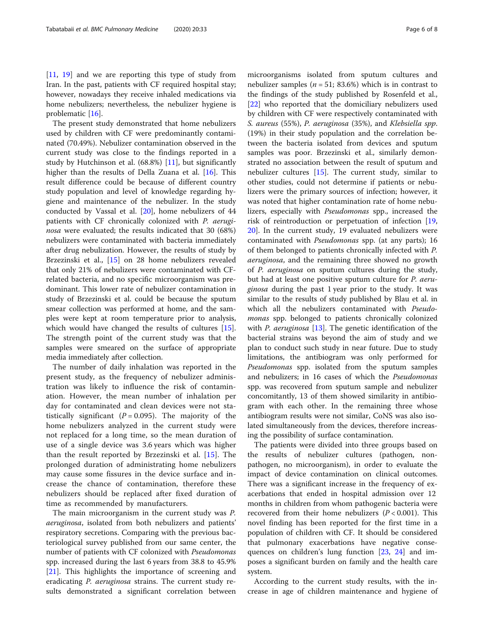[[11,](#page-6-0) [19](#page-7-0)] and we are reporting this type of study from Iran. In the past, patients with CF required hospital stay; however, nowadays they receive inhaled medications via home nebulizers; nevertheless, the nebulizer hygiene is problematic [[16](#page-7-0)].

The present study demonstrated that home nebulizers used by children with CF were predominantly contaminated (70.49%). Nebulizer contamination observed in the current study was close to the findings reported in a study by Hutchinson et al. (68.8%) [\[11](#page-6-0)], but significantly higher than the results of Della Zuana et al. [\[16\]](#page-7-0). This result difference could be because of different country study population and level of knowledge regarding hygiene and maintenance of the nebulizer. In the study conducted by Vassal et al. [[20\]](#page-7-0), home nebulizers of 44 patients with CF chronically colonized with P. aeruginosa were evaluated; the results indicated that 30 (68%) nebulizers were contaminated with bacteria immediately after drug nebulization. However, the results of study by Brzezinski et al., [[15\]](#page-6-0) on 28 home nebulizers revealed that only 21% of nebulizers were contaminated with CFrelated bacteria, and no specific microorganism was predominant. This lower rate of nebulizer contamination in study of Brzezinski et al. could be because the sputum smear collection was performed at home, and the samples were kept at room temperature prior to analysis, which would have changed the results of cultures [\[15](#page-6-0)]. The strength point of the current study was that the samples were smeared on the surface of appropriate media immediately after collection.

The number of daily inhalation was reported in the present study, as the frequency of nebulizer administration was likely to influence the risk of contamination. However, the mean number of inhalation per day for contaminated and clean devices were not statistically significant ( $P = 0.095$ ). The majority of the home nebulizers analyzed in the current study were not replaced for a long time, so the mean duration of use of a single device was 3.6 years which was higher than the result reported by Brzezinski et al. [\[15](#page-6-0)]. The prolonged duration of administrating home nebulizers may cause some fissures in the device surface and increase the chance of contamination, therefore these nebulizers should be replaced after fixed duration of time as recommended by manufacturers.

The main microorganism in the current study was P. aeruginosa, isolated from both nebulizers and patients' respiratory secretions. Comparing with the previous bacteriological survey published from our same center, the number of patients with CF colonized with Pseudomonas spp. increased during the last 6 years from 38.8 to 45.9% [[21\]](#page-7-0). This highlights the importance of screening and eradicating *P. aeruginosa* strains. The current study results demonstrated a significant correlation between

microorganisms isolated from sputum cultures and nebulizer samples ( $n = 51$ ; 83.6%) which is in contrast to the findings of the study published by Rosenfeld et al., [[22\]](#page-7-0) who reported that the domiciliary nebulizers used by children with CF were respectively contaminated with S. aureus (55%), P. aeruginosa (35%), and Klebsiella spp. (19%) in their study population and the correlation between the bacteria isolated from devices and sputum samples was poor. Brzezinski et al., similarly demonstrated no association between the result of sputum and nebulizer cultures  $[15]$  $[15]$ . The current study, similar to other studies, could not determine if patients or nebulizers were the primary sources of infection; however, it was noted that higher contamination rate of home nebulizers, especially with Pseudomonas spp., increased the risk of reintroduction or perpetuation of infection [[19](#page-7-0), [20\]](#page-7-0). In the current study, 19 evaluated nebulizers were contaminated with Pseudomonas spp. (at any parts); 16 of them belonged to patients chronically infected with P. aeruginosa, and the remaining three showed no growth of P. aeruginosa on sputum cultures during the study, but had at least one positive sputum culture for P. aeruginosa during the past 1 year prior to the study. It was similar to the results of study published by Blau et al. in which all the nebulizers contaminated with Pseudomonas spp. belonged to patients chronically colonized with *P. aeruginosa* [\[13\]](#page-6-0). The genetic identification of the bacterial strains was beyond the aim of study and we plan to conduct such study in near future. Due to study limitations, the antibiogram was only performed for Pseudomonas spp. isolated from the sputum samples and nebulizers; in 16 cases of which the Pseudomonas spp. was recovered from sputum sample and nebulizer concomitantly, 13 of them showed similarity in antibiogram with each other. In the remaining three whose antibiogram results were not similar, CoNS was also isolated simultaneously from the devices, therefore increasing the possibility of surface contamination.

The patients were divided into three groups based on the results of nebulizer cultures (pathogen, nonpathogen, no microorganism), in order to evaluate the impact of device contamination on clinical outcomes. There was a significant increase in the frequency of exacerbations that ended in hospital admission over 12 months in children from whom pathogenic bacteria were recovered from their home nebulizers  $(P < 0.001)$ . This novel finding has been reported for the first time in a population of children with CF. It should be considered that pulmonary exacerbations have negative consequences on children's lung function [[23,](#page-7-0) [24\]](#page-7-0) and imposes a significant burden on family and the health care system.

According to the current study results, with the increase in age of children maintenance and hygiene of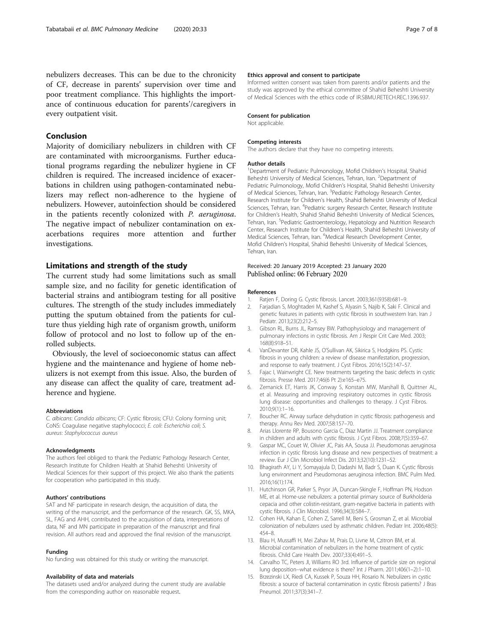# <span id="page-6-0"></span>Conclusion

Majority of domiciliary nebulizers in children with CF are contaminated with microorganisms. Further educational programs regarding the nebulizer hygiene in CF children is required. The increased incidence of exacerbations in children using pathogen-contaminated nebulizers may reflect non-adherence to the hygiene of nebulizers. However, autoinfection should be considered in the patients recently colonized with P. aeruginosa. The negative impact of nebulizer contamination on exacerbations requires more attention and further investigations.

# Limitations and strength of the study

The current study had some limitations such as small sample size, and no facility for genetic identification of bacterial strains and antibiogram testing for all positive cultures. The strength of the study includes immediately putting the sputum obtained from the patients for culture thus yielding high rate of organism growth, uniform follow of protocol and no lost to follow up of the enrolled subjects.

Obviously, the level of socioeconomic status can affect hygiene and the maintenance and hygiene of home nebulizers is not exempt from this issue. Also, the burden of any disease can affect the quality of care, treatment adherence and hygiene.

#### Abbreviations

C. albicans: Candida albicans; CF: Cystic fibrosis; CFU: Colony forming unit; CoNS: Coagulase negative staphylococci; E. coli: Escherichia coli; S. aureus: Staphylococcus aureus

#### Acknowledgments

The authors feel obliged to thank the Pediatric Pathology Research Center, Research Institute for Children Health at Shahid Beheshti University of Medical Sciences for their support of this project. We also thank the patients for cooperation who participated in this study.

#### Authors' contributions

SAT and NF participate in research design, the acquisition of data, the writing of the manuscript, and the performance of the research. GK, SS, MKA, SL, FAG and AHH, contributed to the acquisition of data, interpretations of data, NF and MN participate in preparation of the manuscript and final revision. All authors read and approved the final revision of the manuscript.

#### Funding

No funding was obtained for this study or writing the manuscript.

#### Availability of data and materials

The datasets used and/or analyzed during the current study are available from the corresponding author on reasonable request.

#### Ethics approval and consent to participate

Informed written consent was taken from parents and/or patients and the study was approved by the ethical committee of Shahid Beheshti University of Medical Sciences with the ethics code of IR.SBMU.RETECH.REC.1396.937.

#### Consent for publication

Not applicable.

#### Competing interests

The authors declare that they have no competing interests.

#### Author details

<sup>1</sup>Department of Pediatric Pulmonology, Mofid Children's Hospital, Shahid Beheshti University of Medical Sciences, Tehran, Iran. <sup>2</sup>Department of Pediatric Pulmonology, Mofid Children's Hospital, Shahid Beheshti University of Medical Sciences, Tehran, Iran. <sup>3</sup> Pediatric Pathology Research Center Research Institute for Children's Health, Shahid Beheshti University of Medical Sciences, Tehran, Iran. <sup>4</sup>Pediatric surgery Research Center, Research Institute for Children's Health, Shahid Shahid Beheshti University of Medical Sciences, Tehran, Iran. <sup>5</sup>Pediatric Gastroenterology, Hepatology and Nutrition Research Center, Research Institute for Children's Health, Shahid Beheshti University of Medical Sciences, Tehran, Iran. <sup>6</sup>Medical Research Development Center, Mofid Children's Hospital, Shahid Beheshti University of Medical Sciences, Tehran, Iran.

### Received: 20 January 2019 Accepted: 23 January 2020 Published online: 06 February 2020

#### References

- 1. Ratjen F, Doring G. Cystic fibrosis. Lancet. 2003;361(9358):681–9.
- 2. Farjadian S, Moghtaderi M, Kashef S, Alyasin S, Najib K, Saki F. Clinical and genetic features in patients with cystic fibrosis in southwestern Iran. Iran J Pediatr. 2013;23(2):212–5.
- 3. Gibson RL, Burns JL, Ramsey BW. Pathophysiology and management of pulmonary infections in cystic fibrosis. Am J Respir Crit Care Med. 2003; 168(8):918–51.
- 4. VanDevanter DR, Kahle JS, O'Sullivan AK, Sikirica S, Hodgkins PS. Cystic fibrosis in young children: a review of disease manifestation, progression, and response to early treatment. J Cyst Fibros. 2016;15(2):147–57.
- 5. Fajac I, Wainwright CE. New treatments targeting the basic defects in cystic fibrosis. Presse Med. 2017;46(6 Pt 2):e165–e75.
- 6. Zemanick ET, Harris JK, Conway S, Konstan MW, Marshall B, Quittner AL, et al. Measuring and improving respiratory outcomes in cystic fibrosis lung disease: opportunities and challenges to therapy. J Cyst Fibros. 2010;9(1):1–16.
- 7. Boucher RC. Airway surface dehydration in cystic fibrosis: pathogenesis and therapy. Annu Rev Med. 2007;58:157–70.
- 8. Arias Llorente RP, Bousono Garcia C, Diaz Martin JJ. Treatment compliance in children and adults with cystic fibrosis. J Cyst Fibros. 2008;7(5):359–67.
- 9. Gaspar MC, Couet W, Olivier JC, Pais AA, Sousa JJ. Pseudomonas aeruginosa infection in cystic fibrosis lung disease and new perspectives of treatment: a review. Eur J Clin Microbiol Infect Dis. 2013;32(10):1231–52.
- 10. Bhagirath AY, Li Y, Somayajula D, Dadashi M, Badr S, Duan K. Cystic fibrosis lung environment and Pseudomonas aeruginosa infection. BMC Pulm Med. 2016;16(1):174.
- 11. Hutchinson GR, Parker S, Pryor JA, Duncan-Skingle F, Hoffman PN, Hodson ME, et al. Home-use nebulizers: a potential primary source of Burkholderia cepacia and other colistin-resistant, gram-negative bacteria in patients with cystic fibrosis. J Clin Microbiol. 1996;34(3):584–7.
- 12. Cohen HA, Kahan E, Cohen Z, Sarrell M, Beni S, Grosman Z, et al. Microbial colonization of nebulizers used by asthmatic children. Pediatr Int. 2006;48(5): 454–8.
- 13. Blau H, Mussaffi H, Mei Zahav M, Prais D, Livne M, Czitron BM, et al. Microbial contamination of nebulizers in the home treatment of cystic fibrosis. Child Care Health Dev. 2007;33(4):491–5.
- 14. Carvalho TC, Peters JI, Williams RO 3rd. Influence of particle size on regional lung deposition--what evidence is there? Int J Pharm. 2011;406(1–2):1–10.
- 15. Brzezinski LX, Riedi CA, Kussek P, Souza HH, Rosario N. Nebulizers in cystic fibrosis: a source of bacterial contamination in cystic fibrosis patients? J Bras Pneumol. 2011;37(3):341–7.